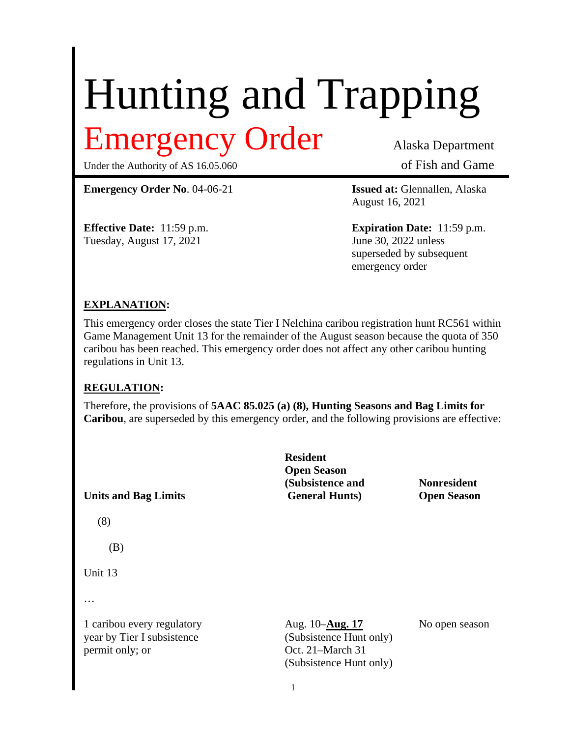# Hunting and Trapping Emergency Order Alaska Department

Under the Authority of AS 16.05.060 of Fish and Game

**Emergency Order No**. 04-06-21 **Issued at:** Glennallen, Alaska

Tuesday, August 17, 2021 June 30, 2022 unless

August 16, 2021

**Effective Date:** 11:59 p.m. **Expiration Date:** 11:59 p.m. superseded by subsequent emergency order

#### **EXPLANATION:**

This emergency order closes the state Tier I Nelchina caribou registration hunt RC561 within Game Management Unit 13 for the remainder of the August season because the quota of 350 caribou has been reached. This emergency order does not affect any other caribou hunting regulations in Unit 13.

#### **REGULATION:**

Therefore, the provisions of **5AAC 85.025 (a) (8), Hunting Seasons and Bag Limits for Caribou**, are superseded by this emergency order, and the following provisions are effective:

| <b>Units and Bag Limits</b>                                                 | <b>Resident</b><br><b>Open Season</b><br>(Subsistence and<br><b>General Hunts</b> )               | <b>Nonresident</b><br><b>Open Season</b> |
|-----------------------------------------------------------------------------|---------------------------------------------------------------------------------------------------|------------------------------------------|
| (8)                                                                         |                                                                                                   |                                          |
| (B)                                                                         |                                                                                                   |                                          |
| Unit 13                                                                     |                                                                                                   |                                          |
| $\cdots$                                                                    |                                                                                                   |                                          |
| 1 caribou every regulatory<br>year by Tier I subsistence<br>permit only; or | Aug. 10- <b>Aug. 17</b><br>(Subsistence Hunt only)<br>Oct. 21-March 31<br>(Subsistence Hunt only) | No open season                           |
|                                                                             |                                                                                                   |                                          |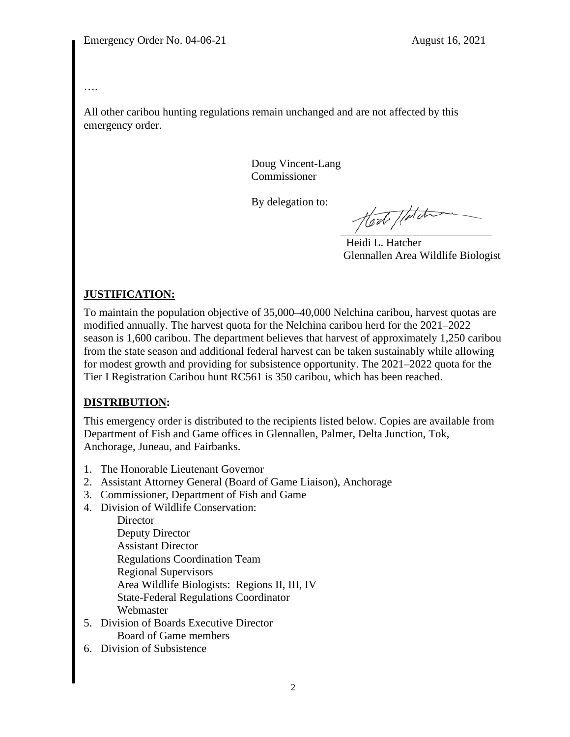#### ….

All other caribou hunting regulations remain unchanged and are not affected by this emergency order.

> Doug Vincent-Lang Commissioner

By delegation to:

Hod / Lotati

 Heidi L. Hatcher Glennallen Area Wildlife Biologist

## **JUSTIFICATION:**

To maintain the population objective of 35,000–40,000 Nelchina caribou, harvest quotas are modified annually. The harvest quota for the Nelchina caribou herd for the 2021–2022 season is 1,600 caribou. The department believes that harvest of approximately 1,250 caribou from the state season and additional federal harvest can be taken sustainably while allowing for modest growth and providing for subsistence opportunity. The 2021–2022 quota for the Tier I Registration Caribou hunt RC561 is 350 caribou, which has been reached.

### **DISTRIBUTION:**

This emergency order is distributed to the recipients listed below. Copies are available from Department of Fish and Game offices in Glennallen, Palmer, Delta Junction, Tok, Anchorage, Juneau, and Fairbanks.

- 1. The Honorable Lieutenant Governor
- 2. Assistant Attorney General (Board of Game Liaison), Anchorage
- 3. Commissioner, Department of Fish and Game
- 4. Division of Wildlife Conservation:

**Director** Deputy Director Assistant Director Regulations Coordination Team Regional Supervisors Area Wildlife Biologists: Regions II, III, IV State-Federal Regulations Coordinator Webmaster

- 5. Division of Boards Executive Director Board of Game members
- 6. Division of Subsistence